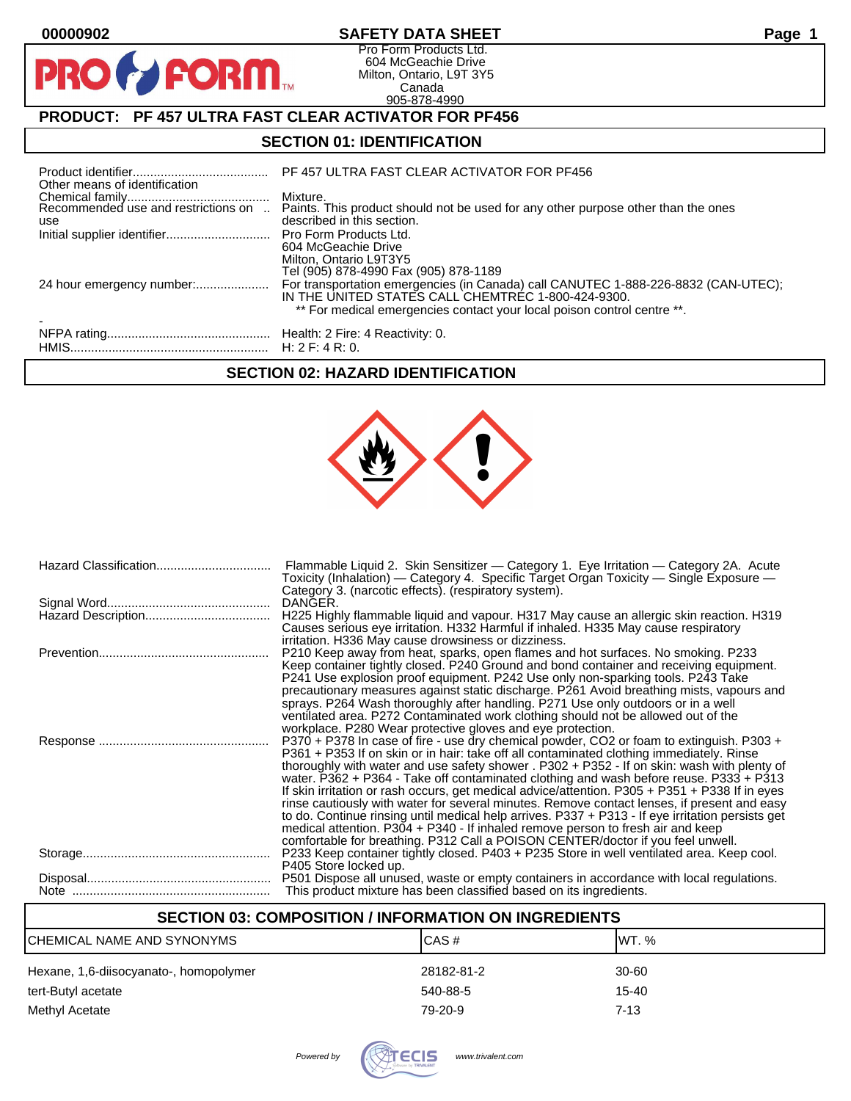$\mathbf O$ 

PR

# **00000902 SAFETY DATA SHEET Page 1**

Pro Form Products Ltd. 604 McGeachie Drive Milton, Ontario, L9T 3Y5 Canada 905-878-4990

# **PRODUCT: PF 457 ULTRA FAST CLEAR ACTIVATOR FOR PF456**

**FORM** 

# **SECTION 01: IDENTIFICATION**

| Other means of identification              | PF 457 ULTRA FAST CLEAR ACTIVATOR FOR PF456                                                                                                                                                                                                                  |
|--------------------------------------------|--------------------------------------------------------------------------------------------------------------------------------------------------------------------------------------------------------------------------------------------------------------|
| Recommended use and restrictions on<br>use | Mixture.<br>Paints. This product should not be used for any other purpose other than the ones<br>described in this section.                                                                                                                                  |
|                                            | Pro Form Products Ltd.<br>604 McGeachie Drive<br>Milton, Ontario L9T3Y5                                                                                                                                                                                      |
|                                            | Tel (905) 878-4990 Fax (905) 878-1189<br>For transportation emergencies (in Canada) call CANUTEC 1-888-226-8832 (CAN-UTEC);<br>IN THE UNITED STATES CALL CHEMTREC 1-800-424-9300.<br>** For medical emergencies contact your local poison control centre **. |
|                                            |                                                                                                                                                                                                                                                              |

### **SECTION 02: HAZARD IDENTIFICATION**



| Flammable Liquid 2. Skin Sensitizer - Category 1. Eye Irritation - Category 2A. Acute<br>Toxicity (Inhalation) — Category 4. Specific Target Organ Toxicity — Single Exposure —<br>Category 3. (narcotic effects). (respiratory system).                                                                                                                                                                                                                                                                                                                                                                                                                                                                                                                                                                                                                 |
|----------------------------------------------------------------------------------------------------------------------------------------------------------------------------------------------------------------------------------------------------------------------------------------------------------------------------------------------------------------------------------------------------------------------------------------------------------------------------------------------------------------------------------------------------------------------------------------------------------------------------------------------------------------------------------------------------------------------------------------------------------------------------------------------------------------------------------------------------------|
| DANGER.                                                                                                                                                                                                                                                                                                                                                                                                                                                                                                                                                                                                                                                                                                                                                                                                                                                  |
| H225 Highly flammable liquid and vapour. H317 May cause an allergic skin reaction. H319<br>Causes serious eye irritation. H332 Harmful if inhaled. H335 May cause respiratory<br>irritation. H336 May cause drowsiness or dizziness.                                                                                                                                                                                                                                                                                                                                                                                                                                                                                                                                                                                                                     |
| P210 Keep away from heat, sparks, open flames and hot surfaces. No smoking. P233<br>Keep container tightly closed. P240 Ground and bond container and receiving equipment.<br>P241 Use explosion proof equipment. P242 Use only non-sparking tools. P243 Take<br>precautionary measures against static discharge. P261 Avoid breathing mists, vapours and<br>sprays. P264 Wash thoroughly after handling. P271 Use only outdoors or in a well<br>ventilated area. P272 Contaminated work clothing should not be allowed out of the<br>workplace. P280 Wear protective gloves and eye protection.                                                                                                                                                                                                                                                         |
| P370 + P378 In case of fire - use dry chemical powder, CO2 or foam to extinguish. P303 +<br>P361 + P353 If on skin or in hair: take off all contaminated clothing immediately. Rinse<br>thoroughly with water and use safety shower . P302 + P352 - If on skin: wash with plenty of<br>water. P362 + P364 - Take off contaminated clothing and wash before reuse. P333 + P313<br>If skin irritation or rash occurs, get medical advice/attention. P305 + P351 + P338 If in eyes<br>rinse cautiously with water for several minutes. Remove contact lenses, if present and easy<br>to do. Continue rinsing until medical help arrives. P337 + P313 - If eye irritation persists get<br>medical attention. P304 + P340 - If inhaled remove person to fresh air and keep<br>comfortable for breathing. P312 Call a POISON CENTER/doctor if you feel unwell. |
| P233 Keep container tightly closed. P403 + P235 Store in well ventilated area. Keep cool.<br>P405 Store locked up.                                                                                                                                                                                                                                                                                                                                                                                                                                                                                                                                                                                                                                                                                                                                       |
| P501 Dispose all unused, waste or empty containers in accordance with local regulations.<br>This product mixture has been classified based on its ingredients.                                                                                                                                                                                                                                                                                                                                                                                                                                                                                                                                                                                                                                                                                           |

# **SECTION 03: COMPOSITION / INFORMATION ON INGREDIENTS**

| CHEMICAL NAME AND SYNONYMS             | ICAS#      | IWT. %    |
|----------------------------------------|------------|-----------|
| Hexane, 1,6-diisocyanato-, homopolymer | 28182-81-2 | 30-60     |
| tert-Butyl acetate                     | 540-88-5   | $15 - 40$ |
| Methyl Acetate                         | 79-20-9    | 7-13      |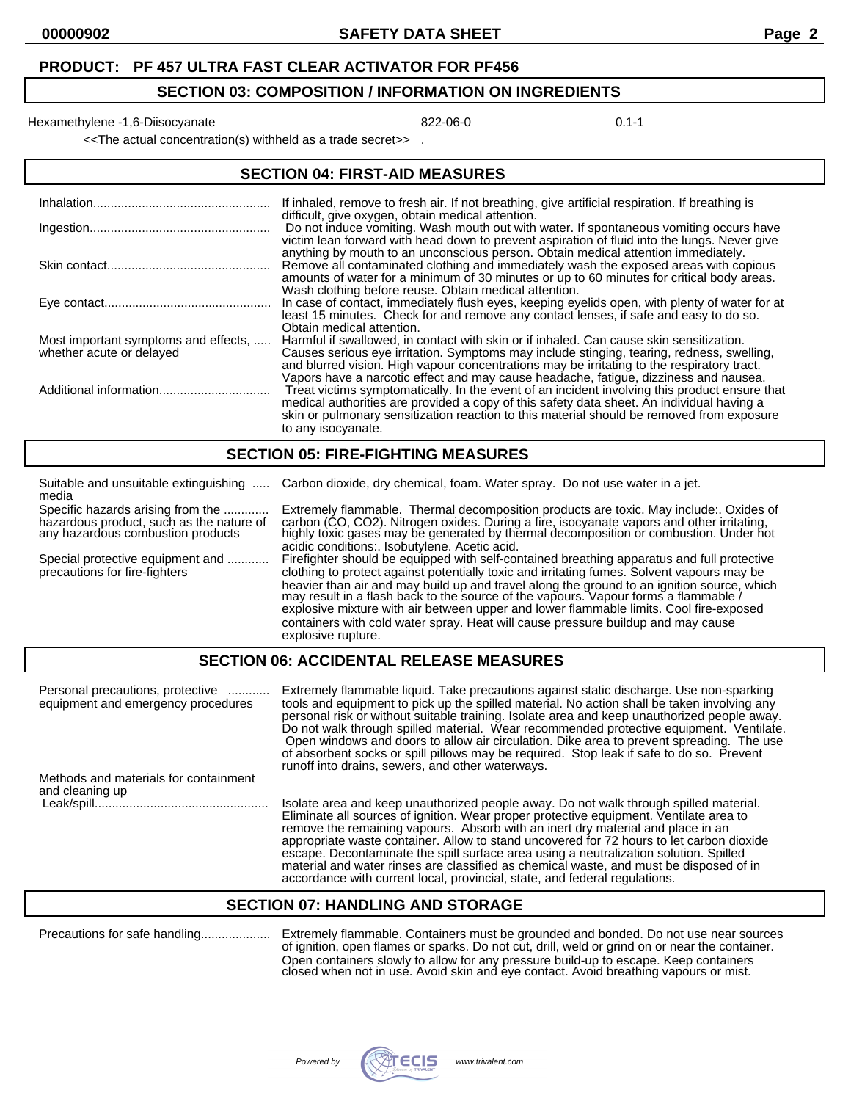#### **SECTION 03: COMPOSITION / INFORMATION ON INGREDIENTS**

Hexamethylene -1,6-Diisocyanate **822-06-0** 822-06-0

<<The actual concentration(s) withheld as a trade secret>> .

| <b>SECTION 04: FIRST-AID MEASURES</b>                            |                                                                                                                                                                                                                                                                                                                                                                            |  |
|------------------------------------------------------------------|----------------------------------------------------------------------------------------------------------------------------------------------------------------------------------------------------------------------------------------------------------------------------------------------------------------------------------------------------------------------------|--|
|                                                                  | If inhaled, remove to fresh air. If not breathing, give artificial respiration. If breathing is<br>difficult, give oxygen, obtain medical attention.                                                                                                                                                                                                                       |  |
|                                                                  | Do not induce vomiting. Wash mouth out with water. If spontaneous vomiting occurs have<br>victim lean forward with head down to prevent aspiration of fluid into the lungs. Never give                                                                                                                                                                                     |  |
|                                                                  | anything by mouth to an unconscious person. Obtain medical attention immediately.<br>Remove all contaminated clothing and immediately wash the exposed areas with copious<br>amounts of water for a minimum of 30 minutes or up to 60 minutes for critical body areas.<br>Wash clothing before reuse. Obtain medical attention.                                            |  |
|                                                                  | In case of contact, immediately flush eyes, keeping eyelids open, with plenty of water for at<br>least 15 minutes. Check for and remove any contact lenses, if safe and easy to do so.<br>Obtain medical attention.                                                                                                                                                        |  |
| Most important symptoms and effects,<br>whether acute or delayed | Harmful if swallowed, in contact with skin or if inhaled. Can cause skin sensitization.<br>Causes serious eye irritation. Symptoms may include stinging, tearing, redness, swelling,<br>and blurred vision. High vapour concentrations may be irritating to the respiratory tract.<br>Vapors have a narcotic effect and may cause headache, fatigue, dizziness and nausea. |  |
|                                                                  | Treat victims symptomatically. In the event of an incident involving this product ensure that<br>medical authorities are provided a copy of this safety data sheet. An individual having a<br>skin or pulmonary sensitization reaction to this material should be removed from exposure<br>to any isocyanate.                                                              |  |

#### **SECTION 05: FIRE-FIGHTING MEASURES**

| Suitable and unsuitable extinguishing<br>media                                                                     | Carbon dioxide, dry chemical, foam. Water spray. Do not use water in a jet.                                                                                                                                                                                                                                                                                                                                                                                                                                                                                                       |
|--------------------------------------------------------------------------------------------------------------------|-----------------------------------------------------------------------------------------------------------------------------------------------------------------------------------------------------------------------------------------------------------------------------------------------------------------------------------------------------------------------------------------------------------------------------------------------------------------------------------------------------------------------------------------------------------------------------------|
| Specific hazards arising from the<br>hazardous product, such as the nature of<br>any hazardous combustion products | Extremely flammable. Thermal decomposition products are toxic. May include:. Oxides of<br>carbon (CO, CO2). Nitrogen oxides. During a fire, isocyanate vapors and other irritating,<br>highly toxic gases may be generated by thermal decomposition or combustion. Under hot<br>acidic conditions: Isobutylene. Acetic acid.                                                                                                                                                                                                                                                      |
| Special protective equipment and<br>precautions for fire-fighters                                                  | Firefighter should be equipped with self-contained breathing apparatus and full protective<br>clothing to protect against potentially toxic and irritating fumes. Solvent vapours may be<br>heavier than air and may build up and travel along the ground to an ignition source, which<br>may result in a flash back to the source of the vapours. Vapour forms a flammable /<br>explosive mixture with air between upper and lower flammable limits. Cool fire-exposed<br>containers with cold water spray. Heat will cause pressure buildup and may cause<br>explosive rupture. |

### **SECTION 06: ACCIDENTAL RELEASE MEASURES**

| Personal precautions, protective<br>equipment and emergency procedures | Extremely flammable liquid. Take precautions against static discharge. Use non-sparking<br>tools and equipment to pick up the spilled material. No action shall be taken involving any<br>personal risk or without suitable training. Isolate area and keep unauthorized people away.<br>Do not walk through spilled material. Wear recommended protective equipment. Ventilate.<br>Open windows and doors to allow air circulation. Dike area to prevent spreading. The use<br>of absorbent socks or spill pillows may be required. Stop leak if safe to do so. Prevent<br>runoff into drains, sewers, and other waterways.    |
|------------------------------------------------------------------------|---------------------------------------------------------------------------------------------------------------------------------------------------------------------------------------------------------------------------------------------------------------------------------------------------------------------------------------------------------------------------------------------------------------------------------------------------------------------------------------------------------------------------------------------------------------------------------------------------------------------------------|
| Methods and materials for containment<br>and cleaning up               |                                                                                                                                                                                                                                                                                                                                                                                                                                                                                                                                                                                                                                 |
|                                                                        | Isolate area and keep unauthorized people away. Do not walk through spilled material.<br>Eliminate all sources of ignition. Wear proper protective equipment. Ventilate area to<br>remove the remaining vapours. Absorb with an inert dry material and place in an<br>appropriate waste container. Allow to stand uncovered for 72 hours to let carbon dioxide<br>escape. Decontaminate the spill surface area using a neutralization solution. Spilled<br>material and water rinses are classified as chemical waste, and must be disposed of in<br>accordance with current local, provincial, state, and federal regulations. |

#### **SECTION 07: HANDLING AND STORAGE**

Precautions for safe handling.................... Extremely flammable. Containers must be grounded and bonded. Do not use near sources of ignition, open flames or sparks. Do not cut, drill, weld or grind on or near the container. Open containers slowly to allow for any pressure build-up to escape. Keep containers closed when not in use. Avoid skin and eye contact. Avoid breathing vapours or mist.

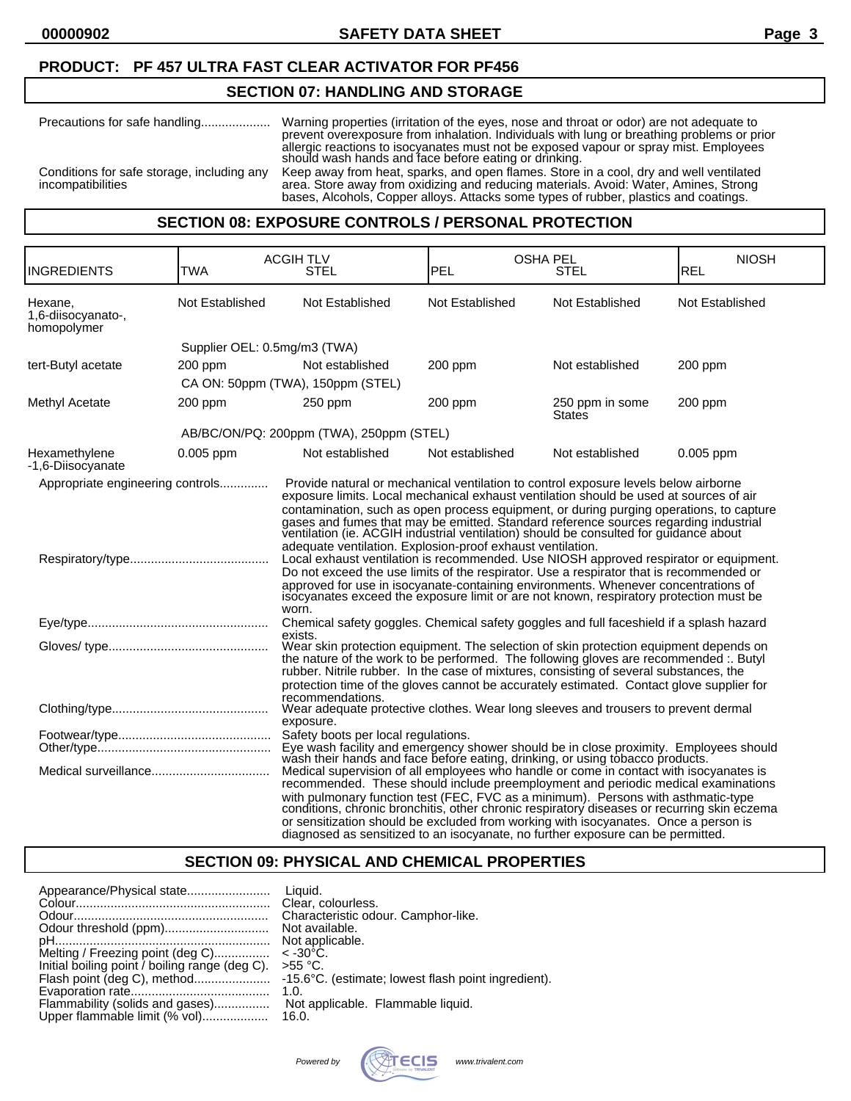### **PRODUCT: PF 457 ULTRA FAST CLEAR ACTIVATOR FOR PF456**

### **SECTION 07: HANDLING AND STORAGE**

| Precautions for safe handling                                   | Warning properties (irritation of the eyes, nose and throat or odor) are not adequate to<br>prevent overexposure from inhalation. Individuals with lung or breathing problems or prior<br>allergic reactions to isocyanates must not be exposed vapour or spray mist. Employees<br>should wash hands and face before eating or drinking. |
|-----------------------------------------------------------------|------------------------------------------------------------------------------------------------------------------------------------------------------------------------------------------------------------------------------------------------------------------------------------------------------------------------------------------|
| Conditions for safe storage, including any<br>incompatibilities | Keep away from heat, sparks, and open flames. Store in a cool, dry and well ventilated<br>area. Store away from oxidizing and reducing materials. Avoid: Water, Amines, Strong<br>bases, Alcohols, Copper alloys. Attacks some types of rubber, plastics and coatings.                                                                   |

## **SECTION 08: EXPOSURE CONTROLS / PERSONAL PROTECTION**

| <b>INGREDIENTS</b>                           | <b>TWA</b>                   | <b>ACGIHTLV</b><br><b>STEL</b>                                                                                                                                                                                                                                                                                                                                                                                                                                                                                                                                                                                                                                                                                                                                                                                                                                                                    | <b>OSHA PEL</b><br>PEL | STEL                             | <b>NIOSH</b><br><b>REL</b> |
|----------------------------------------------|------------------------------|---------------------------------------------------------------------------------------------------------------------------------------------------------------------------------------------------------------------------------------------------------------------------------------------------------------------------------------------------------------------------------------------------------------------------------------------------------------------------------------------------------------------------------------------------------------------------------------------------------------------------------------------------------------------------------------------------------------------------------------------------------------------------------------------------------------------------------------------------------------------------------------------------|------------------------|----------------------------------|----------------------------|
| Hexane,<br>1,6-diisocyanato-,<br>homopolymer | Not Established              | Not Established                                                                                                                                                                                                                                                                                                                                                                                                                                                                                                                                                                                                                                                                                                                                                                                                                                                                                   | Not Established        | Not Established                  | Not Established            |
|                                              | Supplier OEL: 0.5mg/m3 (TWA) |                                                                                                                                                                                                                                                                                                                                                                                                                                                                                                                                                                                                                                                                                                                                                                                                                                                                                                   |                        |                                  |                            |
| tert-Butyl acetate                           | 200 ppm                      | Not established                                                                                                                                                                                                                                                                                                                                                                                                                                                                                                                                                                                                                                                                                                                                                                                                                                                                                   | $200$ ppm              | Not established                  | 200 ppm                    |
|                                              |                              | CA ON: 50ppm (TWA), 150ppm (STEL)                                                                                                                                                                                                                                                                                                                                                                                                                                                                                                                                                                                                                                                                                                                                                                                                                                                                 |                        |                                  |                            |
| Methyl Acetate                               | $200$ ppm                    | 250 ppm                                                                                                                                                                                                                                                                                                                                                                                                                                                                                                                                                                                                                                                                                                                                                                                                                                                                                           | $200$ ppm              | 250 ppm in some<br><b>States</b> | $200$ ppm                  |
|                                              |                              | AB/BC/ON/PQ: 200ppm (TWA), 250ppm (STEL)                                                                                                                                                                                                                                                                                                                                                                                                                                                                                                                                                                                                                                                                                                                                                                                                                                                          |                        |                                  |                            |
| Hexamethylene<br>-1,6-Diisocyanate           | $0.005$ ppm                  | Not established                                                                                                                                                                                                                                                                                                                                                                                                                                                                                                                                                                                                                                                                                                                                                                                                                                                                                   | Not established        | Not established                  | $0.005$ ppm                |
| Appropriate engineering controls             |                              | Provide natural or mechanical ventilation to control exposure levels below airborne<br>exposure limits. Local mechanical exhaust ventilation should be used at sources of air<br>contamination, such as open process equipment, or during purging operations, to capture<br>gases and fumes that may be emitted. Standard reference sources regarding industrial ventilation (ie. ACGIH industrial ventilation) should be consulted for guidance about<br>adequate ventilation. Explosion-proof exhaust ventilation.<br>Local exhaust ventilation is recommended. Use NIOSH approved respirator or equipment.<br>Do not exceed the use limits of the respirator. Use a respirator that is recommended or<br>approved for use in isocyanate-containing environments. Whenever concentrations of<br>isocyanates exceed the exposure limit or are not known, respiratory protection must be<br>worn. |                        |                                  |                            |
|                                              |                              | Chemical safety goggles. Chemical safety goggles and full faceshield if a splash hazard<br>exists.                                                                                                                                                                                                                                                                                                                                                                                                                                                                                                                                                                                                                                                                                                                                                                                                |                        |                                  |                            |
|                                              |                              | Wear skin protection equipment. The selection of skin protection equipment depends on<br>the nature of the work to be performed. The following gloves are recommended :. Butyl<br>rubber. Nitrile rubber. In the case of mixtures, consisting of several substances, the<br>protection time of the gloves cannot be accurately estimated. Contact glove supplier for<br>recommendations.                                                                                                                                                                                                                                                                                                                                                                                                                                                                                                          |                        |                                  |                            |
|                                              |                              | Wear adequate protective clothes. Wear long sleeves and trousers to prevent dermal<br>exposure.                                                                                                                                                                                                                                                                                                                                                                                                                                                                                                                                                                                                                                                                                                                                                                                                   |                        |                                  |                            |
|                                              |                              | Safety boots per local regulations.<br>Eye wash facility and emergency shower should be in close proximity. Employees should<br>wash their hands and face before eating, drinking, or using tobacco products.<br>Medical supervision of all employees who handle or come in contact with isocyanates is<br>recommended. These should include preemployment and periodic medical examinations                                                                                                                                                                                                                                                                                                                                                                                                                                                                                                      |                        |                                  |                            |
|                                              |                              | with pulmonary function test (FEC, FVC as a minimum). Persons with asthmatic-type conditions, chronic bronchitis, other chronic respiratory diseases or recurring skin eczema<br>or sensitization should be excluded from working with isocyanates. Once a person is<br>diagnosed as sensitized to an isocyanate, no further exposure can be permitted.                                                                                                                                                                                                                                                                                                                                                                                                                                                                                                                                           |                        |                                  |                            |

# **SECTION 09: PHYSICAL AND CHEMICAL PROPERTIES**

|                                                | Liauid.                                             |
|------------------------------------------------|-----------------------------------------------------|
|                                                | Clear, colourless.                                  |
|                                                | Characteristic odour. Camphor-like.                 |
|                                                | Not available.                                      |
|                                                | Not applicable.                                     |
| Melting / Freezing point (deg C)               | $<$ -30 $^{\circ}$ C.                               |
| Initial boiling point / boiling range (deg C). | $>55$ °C.                                           |
|                                                | -15.6°C. (estimate; lowest flash point ingredient). |
|                                                | 1.0.                                                |
| Flammability (solids and gases)                | Not applicable. Flammable liquid.                   |
| Upper flammable limit (% vol)                  | 16.0.                                               |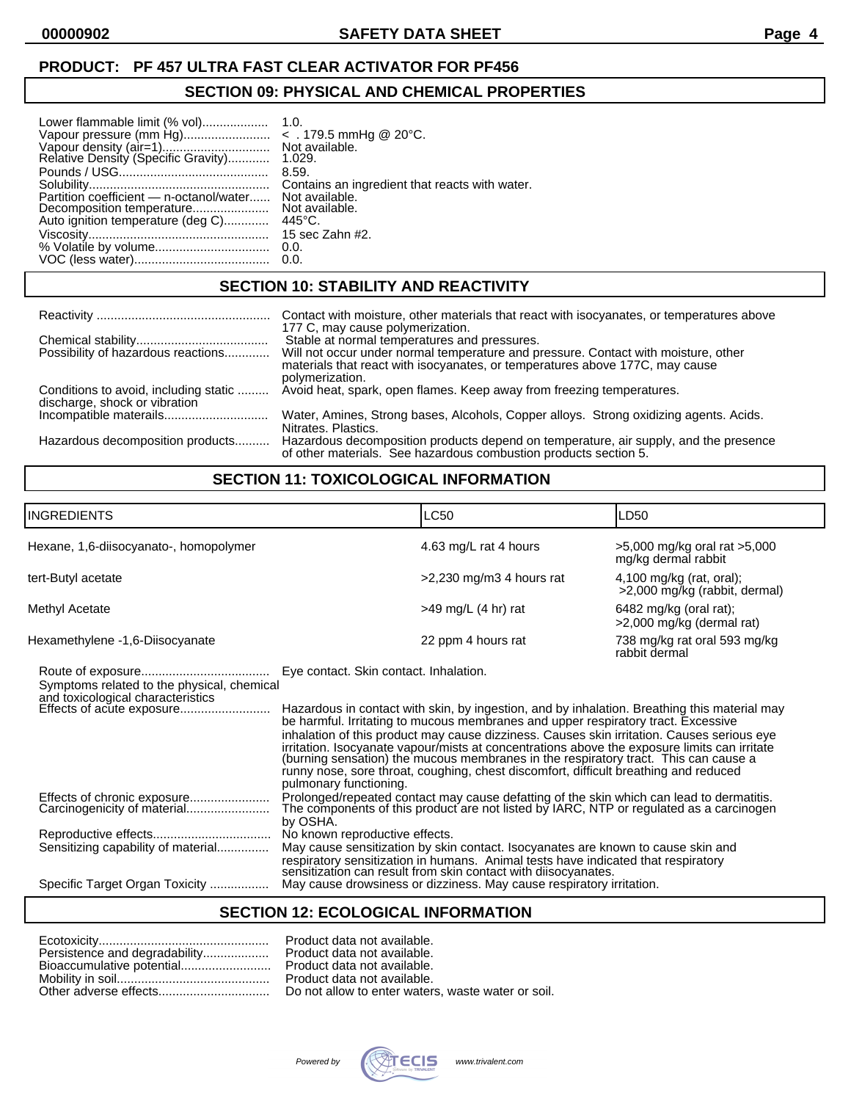### **PRODUCT: PF 457 ULTRA FAST CLEAR ACTIVATOR FOR PF456**

#### **SECTION 09: PHYSICAL AND CHEMICAL PROPERTIES**

| Lower flammable limit (% vol)                                 | 1.0.                                           |
|---------------------------------------------------------------|------------------------------------------------|
|                                                               | Not available.                                 |
| Vapour density (air=1)<br>Relative Density (Specific Gravity) | 1.029.                                         |
|                                                               | 8.59.                                          |
|                                                               | Contains an ingredient that reacts with water. |
| Partition coefficient — n-octanol/water                       | Not available.                                 |
| Decomposition temperature                                     | Not available.                                 |
| Auto ignition temperature (deg C)                             | $445^{\circ}$ C.                               |
|                                                               | 15 sec Zahn #2.                                |

### **SECTION 10: STABILITY AND REACTIVITY**

|                                                                        | Contact with moisture, other materials that react with isocyanates, or temperatures above                                                                                             |
|------------------------------------------------------------------------|---------------------------------------------------------------------------------------------------------------------------------------------------------------------------------------|
|                                                                        | 177 C, may cause polymerization.                                                                                                                                                      |
|                                                                        | Stable at normal temperatures and pressures.                                                                                                                                          |
| Possibility of hazardous reactions                                     | Will not occur under normal temperature and pressure. Contact with moisture, other<br>materials that react with isocyanates, or temperatures above 177C, may cause<br>polymerization. |
| Conditions to avoid, including static<br>discharge, shock or vibration | Avoid heat, spark, open flames. Keep away from freezing temperatures.                                                                                                                 |
|                                                                        | Water, Amines, Strong bases, Alcohols, Copper alloys. Strong oxidizing agents. Acids.<br>Nitrates, Plastics.                                                                          |
| Hazardous decomposition products                                       | Hazardous decomposition products depend on temperature, air supply, and the presence<br>of other materials. See hazardous combustion products section 5.                              |

# **SECTION 11: TOXICOLOGICAL INFORMATION**

| <b>INGREDIENTS</b>                                                              | LC50                                                                                                                                                                                                                                                                                                                                                                                                                                                                                                                                                                                                                               | LD50                                                        |  |
|---------------------------------------------------------------------------------|------------------------------------------------------------------------------------------------------------------------------------------------------------------------------------------------------------------------------------------------------------------------------------------------------------------------------------------------------------------------------------------------------------------------------------------------------------------------------------------------------------------------------------------------------------------------------------------------------------------------------------|-------------------------------------------------------------|--|
| Hexane, 1,6-diisocyanato-, homopolymer                                          | 4.63 mg/L rat 4 hours                                                                                                                                                                                                                                                                                                                                                                                                                                                                                                                                                                                                              | >5,000 mg/kg oral rat >5,000<br>mg/kg dermal rabbit         |  |
| tert-Butyl acetate                                                              | $>2,230$ mg/m3 4 hours rat                                                                                                                                                                                                                                                                                                                                                                                                                                                                                                                                                                                                         | $4,100$ mg/kg (rat, oral);<br>>2,000 mg/kg (rabbit, dermal) |  |
| Methyl Acetate                                                                  | $>49$ mg/L (4 hr) rat                                                                                                                                                                                                                                                                                                                                                                                                                                                                                                                                                                                                              | $6482$ mg/kg (oral rat);<br>>2,000 mg/kg (dermal rat)       |  |
| Hexamethylene -1,6-Diisocyanate                                                 | 22 ppm 4 hours rat                                                                                                                                                                                                                                                                                                                                                                                                                                                                                                                                                                                                                 | 738 mg/kg rat oral 593 mg/kg<br>rabbit dermal               |  |
| Symptoms related to the physical, chemical<br>and toxicological characteristics | Eye contact. Skin contact. Inhalation.<br>Hazardous in contact with skin, by ingestion, and by inhalation. Breathing this material may<br>be harmful. Irritating to mucous membranes and upper respiratory tract. Excessive<br>inhalation of this product may cause dizziness. Causes skin irritation. Causes serious eye<br>irritation. Isocyanate vapour/mists at concentrations above the exposure limits can irritate<br>(burning sensation) the mucous membranes in the respiratory tract. This can cause a<br>runny nose, sore throat, coughing, chest discomfort, difficult breathing and reduced<br>pulmonary functioning. |                                                             |  |
| Effects of chronic exposure<br>Carcinogenicity of material                      | Prolonged/repeated contact may cause defatting of the skin which can lead to dermatitis.<br>The components of this product are not listed by IARC, NTP or regulated as a carcinogen<br>by OSHA.                                                                                                                                                                                                                                                                                                                                                                                                                                    |                                                             |  |
| Sensitizing capability of material                                              | No known reproductive effects.<br>May cause sensitization by skin contact. Isocyanates are known to cause skin and<br>respiratory sensitization in humans. Animal tests have indicated that respiratory<br>sensitization can result from skin contact with diisocyanates.                                                                                                                                                                                                                                                                                                                                                          |                                                             |  |
| Specific Target Organ Toxicity                                                  | May cause drowsiness or dizziness. May cause respiratory irritation.                                                                                                                                                                                                                                                                                                                                                                                                                                                                                                                                                               |                                                             |  |

### **SECTION 12: ECOLOGICAL INFORMATION**

| F |
|---|
|   |
|   |
| F |
|   |

Product data not available. Product data not available. Product data not available. Product data not available. Do not allow to enter waters, waste water or soil.